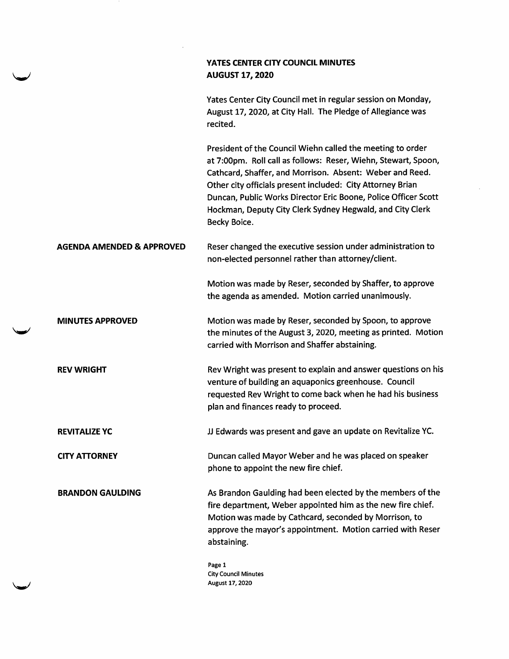## YATES CENTER CITY COUNCIL MINUTES AUGUST 17, 2020 Yates Center City Council met in regular session on Monday, August 17, 2020, at City Hall. The Pledge of Allegiance was recited. President of the Council Wiehn called the meeting to order at 7:00pm. Roll call as follows: Reser, Wiehn, Stewart, Spoon, Cathcard, Shaffer, and Morrison. Absent: Weber and Reed. Other city officials present included: City Attorney Brian Duncan, Public Works Director Eric Boone, Police Officer Scott Hockman, Deputy City Clerk Sydney Hegwald, and City Clerk Becky Boice. AGENDA AMENDED & APPROVED Reser changed the executive session under administration to non-elected personnel rather than attorney/client. MINUTES APPROVED REV WRIGHT Motion was made by Reser, seconded by Shaffer, to approve the agenda as amended. Motion carried unanimously. Motion was made by Reser, seconded by Spoon, to approve the minutes of the August 3, 2020, meeting as printed. Motion carried with Morrison and Shaffer abstaining. Rev Wright was present to explain and answer questions on his venture of building an aquaponics greenhouse. Council requested Rev Wright to come back when he had his business plan and finances ready to proceed. REVITALIZE YC CITY ATTORNEY BRANDON GAULDING JJ Edwards was present and gave an update on Revitalize YC. Duncan called Mayor Weber and he was placed on speaker phone to appoint the new fire chief. As Brandon Gaulding had been elected by the members of the fire department, Weber appointed him as the new fire chief. Motion was made by Cathcard, seconded by Morrison, to approve the mayor's appointment. Motion carried with Reser abstaining. Page 1

City Council Minutes August 17,2020

w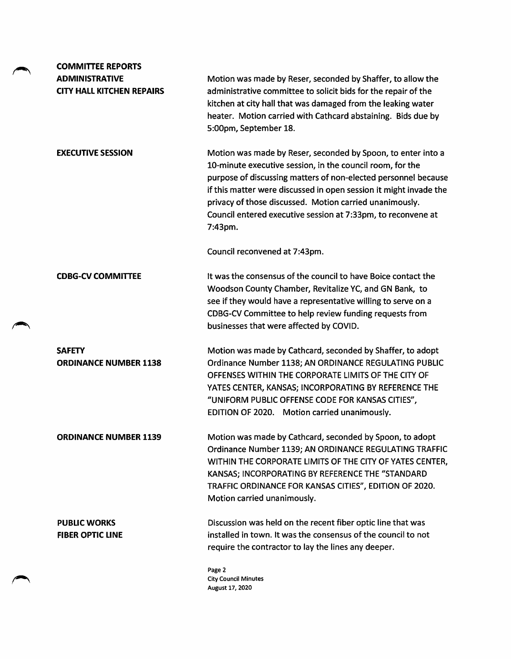| <b>COMMITTEE REPORTS</b>                                  |                                                                                                                                                                                                                                                                                                                                                                                                        |
|-----------------------------------------------------------|--------------------------------------------------------------------------------------------------------------------------------------------------------------------------------------------------------------------------------------------------------------------------------------------------------------------------------------------------------------------------------------------------------|
| <b>ADMINISTRATIVE</b><br><b>CITY HALL KITCHEN REPAIRS</b> | Motion was made by Reser, seconded by Shaffer, to allow the<br>administrative committee to solicit bids for the repair of the<br>kitchen at city hall that was damaged from the leaking water<br>heater. Motion carried with Cathcard abstaining. Bids due by<br>5:00pm, September 18.                                                                                                                 |
| <b>EXECUTIVE SESSION</b>                                  | Motion was made by Reser, seconded by Spoon, to enter into a<br>10-minute executive session, in the council room, for the<br>purpose of discussing matters of non-elected personnel because<br>if this matter were discussed in open session it might invade the<br>privacy of those discussed. Motion carried unanimously.<br>Council entered executive session at 7:33pm, to reconvene at<br>7:43pm. |
|                                                           | Council reconvened at 7:43pm.                                                                                                                                                                                                                                                                                                                                                                          |
| <b>CDBG-CV COMMITTEE</b>                                  | It was the consensus of the council to have Boice contact the<br>Woodson County Chamber, Revitalize YC, and GN Bank, to<br>see if they would have a representative willing to serve on a<br>CDBG-CV Committee to help review funding requests from<br>businesses that were affected by COVID.                                                                                                          |
| <b>SAFETY</b><br><b>ORDINANCE NUMBER 1138</b>             | Motion was made by Cathcard, seconded by Shaffer, to adopt<br>Ordinance Number 1138; AN ORDINANCE REGULATING PUBLIC<br>OFFENSES WITHIN THE CORPORATE LIMITS OF THE CITY OF<br>YATES CENTER, KANSAS; INCORPORATING BY REFERENCE THE<br>"UNIFORM PUBLIC OFFENSE CODE FOR KANSAS CITIES",<br>EDITION OF 2020. Motion carried unanimously.                                                                 |
| <b>ORDINANCE NUMBER 1139</b>                              | Motion was made by Cathcard, seconded by Spoon, to adopt<br>Ordinance Number 1139; AN ORDINANCE REGULATING TRAFFIC<br>WITHIN THE CORPORATE LIMITS OF THE CITY OF YATES CENTER,<br>KANSAS; INCORPORATING BY REFERENCE THE "STANDARD<br>TRAFFIC ORDINANCE FOR KANSAS CITIES", EDITION OF 2020.<br>Motion carried unanimously.                                                                            |
| <b>PUBLIC WORKS</b><br><b>FIBER OPTIC LINE</b>            | Discussion was held on the recent fiber optic line that was<br>installed in town. It was the consensus of the council to not<br>require the contractor to lay the lines any deeper.                                                                                                                                                                                                                    |
|                                                           | Page 2<br><b>City Council Minutes</b><br>August 17, 2020                                                                                                                                                                                                                                                                                                                                               |